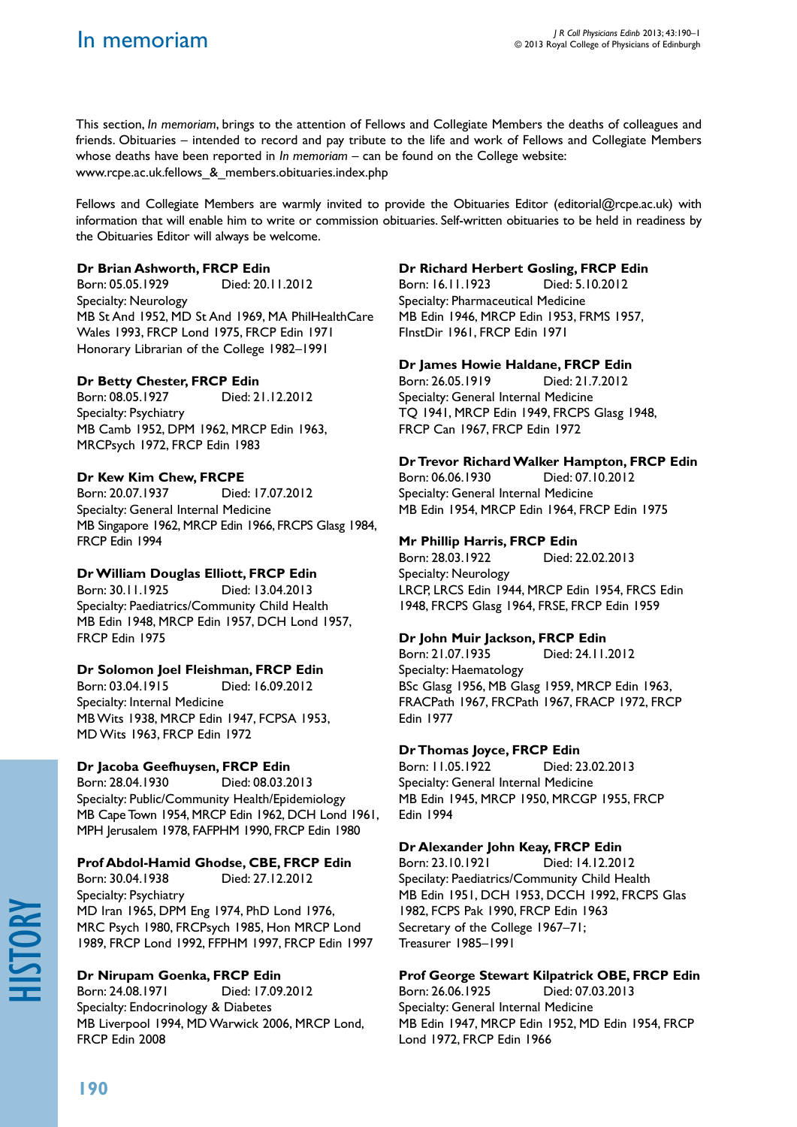This section, *In memoriam*, brings to the attention of Fellows and Collegiate Members the deaths of colleagues and friends. Obituaries – intended to record and pay tribute to the life and work of Fellows and Collegiate Members whose deaths have been reported in *In memoriam* – can be found on the College website: www.rcpe.ac.uk.fellows\_&\_members.obituaries.index.php

Fellows and Collegiate Members are warmly invited to provide the Obituaries Editor (editorial@rcpe.ac.uk) with information that will enable him to write or commission obituaries. Self-written obituaries to be held in readiness by the Obituaries Editor will always be welcome.

## **Dr Brian Ashworth, FRCP Edin**

Born: 05.05.1929 Died: 20.11.2012 Specialty: Neurology MB St And 1952, MD St And 1969, MA PhilHealthCare Wales 1993, FRCP Lond 1975, FRCP Edin 1971 Honorary Librarian of the College 1982–1991

# **Dr Betty Chester, FRCP Edin**

Born: 08.05.1927 Died: 21.12.2012 Specialty: Psychiatry MB Camb 1952, DPM 1962, MRCP Edin 1963, MRCPsych 1972, FRCP Edin 1983

# **Dr Kew Kim Chew, FRCPE**

Born: 20.07.1937 Died: 17.07.2012 Specialty: General Internal Medicine MB Singapore 1962, MRCP Edin 1966, FRCPS Glasg 1984, FRCP Edin 1994

# **Dr William Douglas Elliott, FRCP Edin**

Born: 30.11.1925 Died: 13.04.2013 Specialty: Paediatrics/Community Child Health MB Edin 1948, MRCP Edin 1957, DCH Lond 1957, FRCP Edin 1975

## **Dr Solomon Joel Fleishman, FRCP Edin**

Born: 03.04.1915 Died: 16.09.2012 Specialty: Internal Medicine MB Wits 1938, MRCP Edin 1947, FCPSA 1953, MD Wits 1963, FRCP Edin 1972

## **Dr Jacoba Geefhuysen, FRCP Edin**

Born: 28.04.1930 Died: 08.03.2013 Specialty: Public/Community Health/Epidemiology MB Cape Town 1954, MRCP Edin 1962, DCH Lond 1961, MPH Jerusalem 1978, FAFPHM 1990, FRCP Edin 1980

# **Prof Abdol-Hamid Ghodse, CBE, FRCP Edin**

Born: 30.04.1938 Died: 27.12.2012 Specialty: Psychiatry MD Iran 1965, DPM Eng 1974, PhD Lond 1976, MRC Psych 1980, FRCPsych 1985, Hon MRCP Lond 1989, FRCP Lond 1992, FFPHM 1997, FRCP Edin 1997

# **Dr Nirupam Goenka, FRCP Edin**

Born: 24.08.1971 Died: 17.09.2012 Specialty: Endocrinology & Diabetes MB Liverpool 1994, MD Warwick 2006, MRCP Lond, FRCP Edin 2008

## **Dr Richard Herbert Gosling, FRCP Edin**

Born: 16.11.1923 Died: 5.10.2012 Specialty: Pharmaceutical Medicine MB Edin 1946, MRCP Edin 1953, FRMS 1957, FInstDir 1961, FRCP Edin 1971

## **Dr James Howie Haldane, FRCP Edin**

Born: 26.05.1919 Died: 21.7.2012 Specialty: General Internal Medicine TQ 1941, MRCP Edin 1949, FRCPS Glasg 1948, FRCP Can 1967, FRCP Edin 1972

## **Dr Trevor Richard Walker Hampton, FRCP Edin**

Born: 06.06.1930 Died: 07.10.2012 Specialty: General Internal Medicine MB Edin 1954, MRCP Edin 1964, FRCP Edin 1975

## **Mr Phillip Harris, FRCP Edin**

Born: 28.03.1922 Died: 22.02.2013 Specialty: Neurology LRCP, LRCS Edin 1944, MRCP Edin 1954, FRCS Edin 1948, FRCPS Glasg 1964, FRSE, FRCP Edin 1959

# **Dr John Muir Jackson, FRCP Edin**

Born: 21.07.1935 Died: 24.11.2012 Specialty: Haematology BSc Glasg 1956, MB Glasg 1959, MRCP Edin 1963, FRACPath 1967, FRCPath 1967, FRACP 1972, FRCP Edin 1977

## **Dr Thomas Joyce, FRCP Edin**

Born: 11.05.1922 Died: 23.02.2013 Specialty: General Internal Medicine MB Edin 1945, MRCP 1950, MRCGP 1955, FRCP Edin 1994

## **Dr Alexander John Keay, FRCP Edin**

Born: 23.10.1921 Died: 14.12.2012 Specilaty: Paediatrics/Community Child Health MB Edin 1951, DCH 1953, DCCH 1992, FRCPS Glas 1982, FCPS Pak 1990, FRCP Edin 1963 Secretary of the College 1967–71; Treasurer 1985–1991

# **Prof George Stewart Kilpatrick OBE, FRCP Edin**

Born: 26.06.1925 Died: 07.03.2013 Specialty: General Internal Medicine MB Edin 1947, MRCP Edin 1952, MD Edin 1954, FRCP Lond 1972, FRCP Edin 1966

history